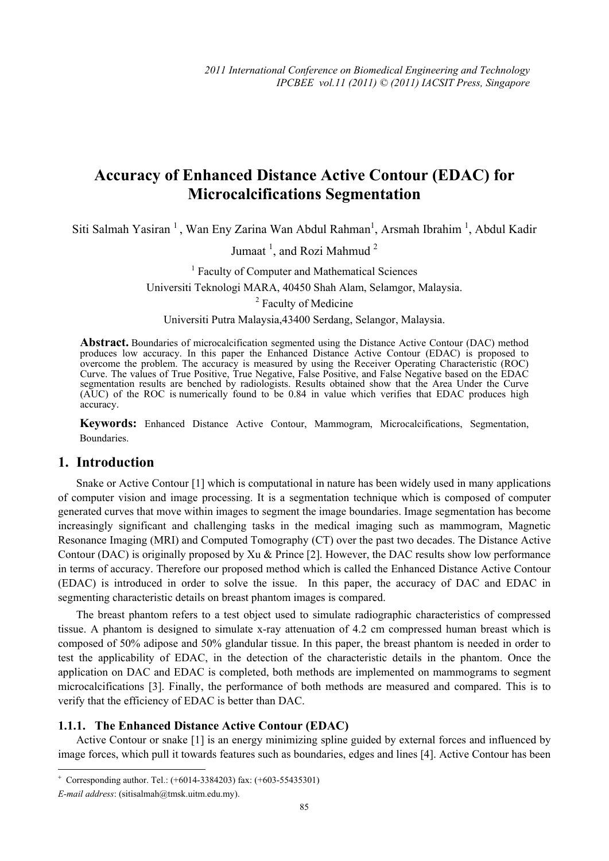# **Accuracy of Enhanced Distance Active Contour (EDAC) for Microcalcifications Segmentation**

Siti Salmah Yasiran<sup>1</sup>, Wan Eny Zarina Wan Abdul Rahman<sup>1</sup>, Arsmah Ibrahim<sup>1</sup>, Abdul Kadir

Jumaat<sup>1</sup>, and Rozi Mahmud<sup>2</sup>

<sup>1</sup> Faculty of Computer and Mathematical Sciences Universiti Teknologi MARA, 40450 Shah Alam, Selamgor, Malaysia.

<sup>2</sup> Faculty of Medicine

Universiti Putra Malaysia,43400 Serdang, Selangor, Malaysia.

**Abstract.** Boundaries of microcalcification segmented using the Distance Active Contour (DAC) method produces low accuracy. In this paper the Enhanced Distance Active Contour (EDAC) is proposed to overcome the problem. The accuracy is measured by using the Receiver Operating Characteristic (ROC) Curve. The values of True Positive, True Negative, False Positive, and False Negative based on the EDAC segmentation results are benched by radiologists. Results obtained show that the Area Under the Curve (AUC) of the ROC is numerically found to be 0.84 in value which verifies that EDAC produces high accuracy.

**Keywords:** Enhanced Distance Active Contour, Mammogram, Microcalcifications, Segmentation, Boundaries.

#### **1. Introduction**

Snake or Active Contour [1] which is computational in nature has been widely used in many applications of computer vision and image processing. It is a segmentation technique which is composed of computer generated curves that move within images to segment the image boundaries. Image segmentation has become increasingly significant and challenging tasks in the medical imaging such as mammogram, Magnetic Resonance Imaging (MRI) and Computed Tomography (CT) over the past two decades. The Distance Active Contour (DAC) is originally proposed by Xu & Prince [2]. However, the DAC results show low performance in terms of accuracy. Therefore our proposed method which is called the Enhanced Distance Active Contour (EDAC) is introduced in order to solve the issue. In this paper, the accuracy of DAC and EDAC in segmenting characteristic details on breast phantom images is compared.

The breast phantom refers to a test object used to simulate radiographic characteristics of compressed tissue. A phantom is designed to simulate x-ray attenuation of 4.2 cm compressed human breast which is composed of 50% adipose and 50% glandular tissue. In this paper, the breast phantom is needed in order to test the applicability of EDAC, in the detection of the characteristic details in the phantom. Once the application on DAC and EDAC is completed, both methods are implemented on mammograms to segment microcalcifications [3]. Finally, the performance of both methods are measured and compared. This is to verify that the efficiency of EDAC is better than DAC.

#### **1.1.1. The Enhanced Distance Active Contour (EDAC)**

Active Contour or snake [1] is an energy minimizing spline guided by external forces and influenced by image forces, which pull it towards features such as boundaries, edges and lines [4]. Active Contour has been

 $\overline{\phantom{a}}$ 

<sup>+</sup> Corresponding author. Tel.: (+6014-3384203) fax: (+603-55435301)

*E-mail address*: (sitisalmah@tmsk.uitm.edu.my).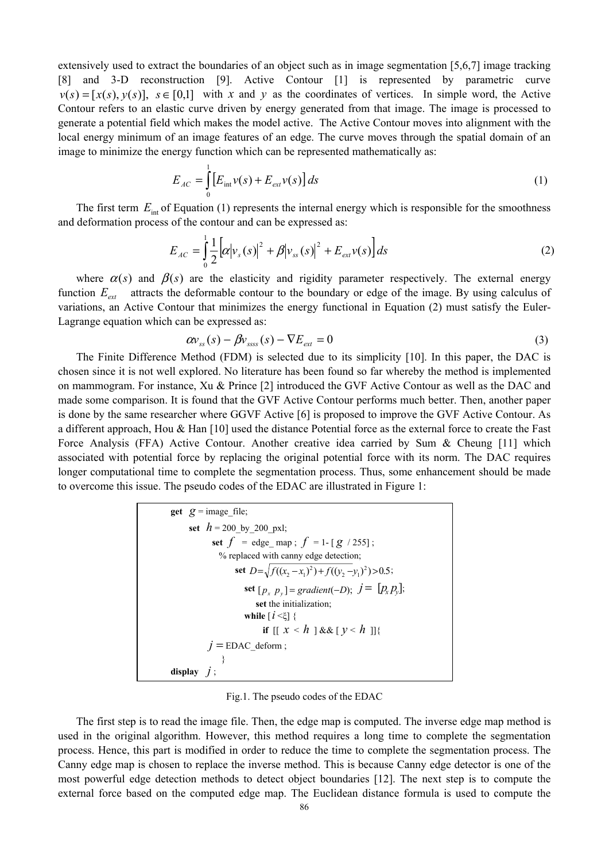extensively used to extract the boundaries of an object such as in image segmentation [5,6,7] image tracking [8] and 3-D reconstruction [9]. Active Contour [1] is represented by parametric curve  $v(s) = [x(s), y(s)], s \in [0,1]$  with *x* and *y* as the coordinates of vertices. In simple word, the Active Contour refers to an elastic curve driven by energy generated from that image. The image is processed to generate a potential field which makes the model active. The Active Contour moves into alignment with the local energy minimum of an image features of an edge. The curve moves through the spatial domain of an image to minimize the energy function which can be represented mathematically as:

$$
E_{AC} = \int_{0}^{1} \left[ E_{int} v(s) + E_{ext} v(s) \right] ds
$$
 (1)

The first term  $E_{\text{int}}$  of Equation (1) represents the internal energy which is responsible for the smoothness and deformation process of the contour and can be expressed as:

$$
E_{AC} = \int_{0}^{1} \frac{1}{2} \left[ \alpha |v_s(s)|^2 + \beta |v_{ss}(s)|^2 + E_{ext} v(s) \right] ds \tag{2}
$$

where  $\alpha(s)$  and  $\beta(s)$  are the elasticity and rigidity parameter respectively. The external energy function  $E_{ext}$  attracts the deformable contour to the boundary or edge of the image. By using calculus of variations, an Active Contour that minimizes the energy functional in Equation (2) must satisfy the Euler-Lagrange equation which can be expressed as:

$$
\alpha v_{ss}(s) - \beta v_{ssss}(s) - \nabla E_{ext} = 0 \tag{3}
$$

The Finite Difference Method (FDM) is selected due to its simplicity [10]. In this paper, the DAC is chosen since it is not well explored. No literature has been found so far whereby the method is implemented on mammogram. For instance, Xu & Prince [2] introduced the GVF Active Contour as well as the DAC and made some comparison. It is found that the GVF Active Contour performs much better. Then, another paper is done by the same researcher where GGVF Active [6] is proposed to improve the GVF Active Contour. As a different approach, Hou & Han [10] used the distance Potential force as the external force to create the Fast Force Analysis (FFA) Active Contour. Another creative idea carried by Sum & Cheung [11] which associated with potential force by replacing the original potential force with its norm. The DAC requires longer computational time to complete the segmentation process. Thus, some enhancement should be made to overcome this issue. The pseudo codes of the EDAC are illustrated in Figure 1:

| <b>get</b> $q = \text{image}$ file;                  |
|------------------------------------------------------|
| set $h = 200$ by 200 pxl;                            |
| set $f = \text{edge map}$ ; $f = 1 - [g / 255]$ ;    |
| % replaced with canny edge detection;                |
| set $D=\sqrt{f((x_2-x_1)^2)+f((y_2-y_1)^2)} > 0.5$ ; |
| set $[p_x \ p_y]$ = gradient(-D); $j = [p_x p_y]$ ;  |
| set the initialization;                              |
| while $\lceil i \ll \rceil$ {                        |
| if $[ x < h ]$ && $ y < h $   {                      |
| $i =$ EDAC deform;                                   |
|                                                      |
| display                                              |

Fig.1. The pseudo codes of the EDAC

The first step is to read the image file. Then, the edge map is computed. The inverse edge map method is used in the original algorithm. However, this method requires a long time to complete the segmentation process. Hence, this part is modified in order to reduce the time to complete the segmentation process. The Canny edge map is chosen to replace the inverse method. This is because Canny edge detector is one of the most powerful edge detection methods to detect object boundaries [12]. The next step is to compute the external force based on the computed edge map. The Euclidean distance formula is used to compute the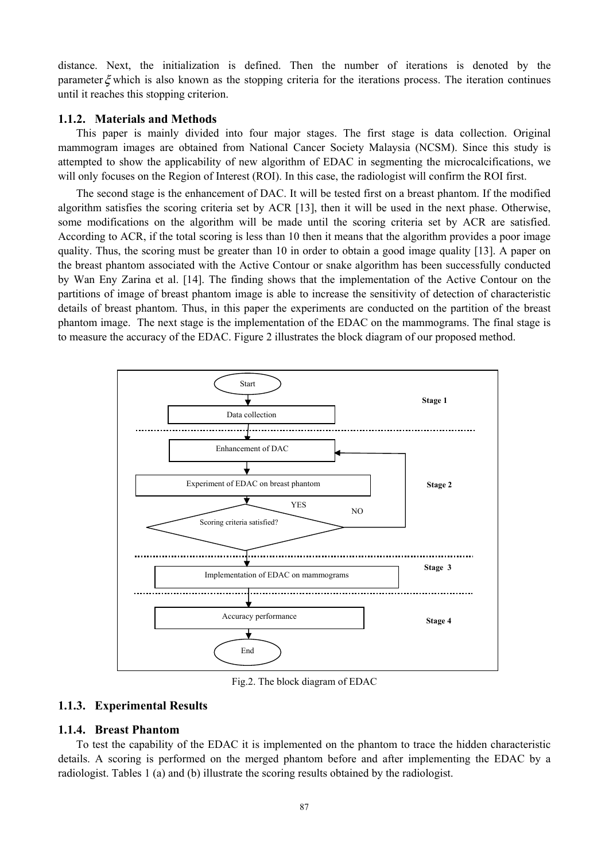distance. Next, the initialization is defined. Then the number of iterations is denoted by the parameter  $\xi$  which is also known as the stopping criteria for the iterations process. The iteration continues until it reaches this stopping criterion.

#### **1.1.2. Materials and Methods**

This paper is mainly divided into four major stages. The first stage is data collection. Original mammogram images are obtained from National Cancer Society Malaysia (NCSM). Since this study is attempted to show the applicability of new algorithm of EDAC in segmenting the microcalcifications, we will only focuses on the Region of Interest (ROI). In this case, the radiologist will confirm the ROI first.

The second stage is the enhancement of DAC. It will be tested first on a breast phantom. If the modified algorithm satisfies the scoring criteria set by ACR [13], then it will be used in the next phase. Otherwise, some modifications on the algorithm will be made until the scoring criteria set by ACR are satisfied. According to ACR, if the total scoring is less than 10 then it means that the algorithm provides a poor image quality. Thus, the scoring must be greater than 10 in order to obtain a good image quality [13]. A paper on the breast phantom associated with the Active Contour or snake algorithm has been successfully conducted by Wan Eny Zarina et al. [14]. The finding shows that the implementation of the Active Contour on the partitions of image of breast phantom image is able to increase the sensitivity of detection of characteristic details of breast phantom. Thus, in this paper the experiments are conducted on the partition of the breast phantom image. The next stage is the implementation of the EDAC on the mammograms. The final stage is to measure the accuracy of the EDAC. Figure 2 illustrates the block diagram of our proposed method.



Fig.2. The block diagram of EDAC

#### **1.1.3. Experimental Results**

#### **1.1.4. Breast Phantom**

To test the capability of the EDAC it is implemented on the phantom to trace the hidden characteristic details. A scoring is performed on the merged phantom before and after implementing the EDAC by a radiologist. Tables 1 (a) and (b) illustrate the scoring results obtained by the radiologist.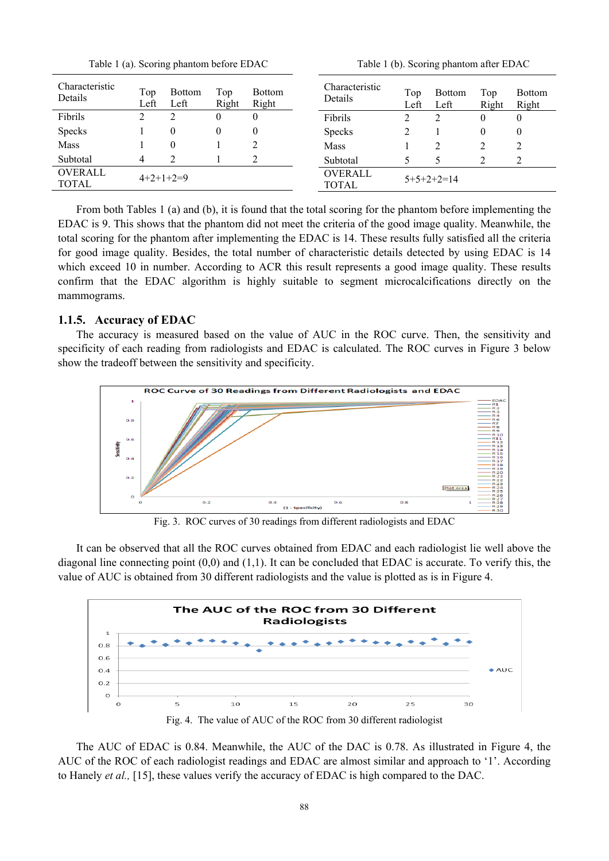Table 1 (a). Scoring phantom before EDAC Table 1 (b). Scoring phantom after EDAC

| Characteristic<br>Details      | Top<br>Left | <b>Bottom</b><br>Left | Top<br>Right     | <b>Bottom</b><br>Right | <b>Characteristic</b><br>Details | Top<br>Left  | <b>Bottom</b><br>Left | Top<br>Right | <b>Bottom</b><br>Right |
|--------------------------------|-------------|-----------------------|------------------|------------------------|----------------------------------|--------------|-----------------------|--------------|------------------------|
| Fibrils                        | ∍           |                       | $\boldsymbol{0}$ | 0                      | Fibrils                          |              | 2                     | 0            | 0                      |
| <b>Specks</b>                  |             |                       | 0                | 0                      | <b>Specks</b>                    |              |                       |              | 0                      |
| Mass                           |             |                       |                  |                        | Mass                             |              |                       |              | ∍                      |
| Subtotal                       | 4           |                       |                  |                        | Subtotal                         |              |                       |              |                        |
| <b>OVERALL</b><br><b>TOTAL</b> | $4+2+1+2=9$ |                       |                  |                        | <b>OVERALL</b><br><b>TOTAL</b>   | $5+5+2+2=14$ |                       |              |                        |

From both Tables 1 (a) and (b), it is found that the total scoring for the phantom before implementing the EDAC is 9. This shows that the phantom did not meet the criteria of the good image quality. Meanwhile, the total scoring for the phantom after implementing the EDAC is 14. These results fully satisfied all the criteria for good image quality. Besides, the total number of characteristic details detected by using EDAC is 14 which exceed 10 in number. According to ACR this result represents a good image quality. These results confirm that the EDAC algorithm is highly suitable to segment microcalcifications directly on the mammograms.

### **1.1.5. Accuracy of EDAC**

The accuracy is measured based on the value of AUC in the ROC curve. Then, the sensitivity and specificity of each reading from radiologists and EDAC is calculated. The ROC curves in Figure 3 below show the tradeoff between the sensitivity and specificity.



Fig. 3. ROC curves of 30 readings from different radiologists and EDAC

It can be observed that all the ROC curves obtained from EDAC and each radiologist lie well above the diagonal line connecting point  $(0,0)$  and  $(1,1)$ . It can be concluded that EDAC is accurate. To verify this, the value of AUC is obtained from 30 different radiologists and the value is plotted as is in Figure 4.



The AUC of EDAC is 0.84. Meanwhile, the AUC of the DAC is 0.78. As illustrated in Figure 4, the AUC of the ROC of each radiologist readings and EDAC are almost similar and approach to '1'. According to Hanely *et al.,* [15], these values verify the accuracy of EDAC is high compared to the DAC.